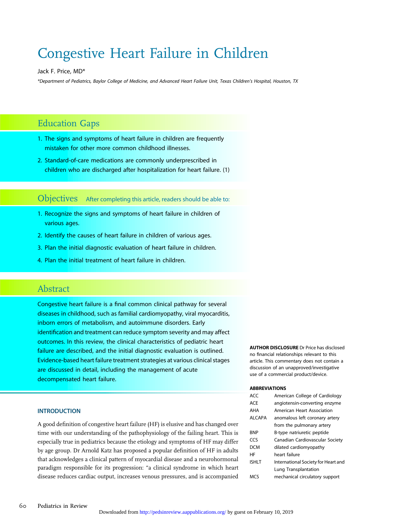# Congestive Heart Failure in Children

## Jack F. Price, MD\*

\*Department of Pediatrics, Baylor College of Medicine, and Advanced Heart Failure Unit, Texas Children's Hospital, Houston, TX

# Education Gaps

- 1. The signs and symptoms of heart failure in children are frequently mistaken for other more common childhood illnesses.
- 2. Standard-of-care medications are commonly underprescribed in children who are discharged after hospitalization for heart failure. (1)

## Objectives After completing this article, readers should be able to:

- 1. Recognize the signs and symptoms of heart failure in children of various ages.
- 2. Identify the causes of heart failure in children of various ages.
- 3. Plan the initial diagnostic evaluation of heart failure in children.
- 4. Plan the initial treatment of heart failure in children.

## Abstract

Congestive heart failure is a final common clinical pathway for several diseases in childhood, such as familial cardiomyopathy, viral myocarditis, inborn errors of metabolism, and autoimmune disorders. Early identification and treatment can reduce symptom severity and may affect outcomes. In this review, the clinical characteristics of pediatric heart failure are described, and the initial diagnostic evaluation is outlined. Evidence-based heart failure treatment strategies at various clinical stages are discussed in detail, including the management of acute decompensated heart failure.

## **INTRODUCTION**

A good definition of congestive heart failure (HF) is elusive and has changed over time with our understanding of the pathophysiology of the failing heart. This is especially true in pediatrics because the etiology and symptoms of HF may differ by age group. Dr Arnold Katz has proposed a popular definition of HF in adults that acknowledges a clinical pattern of myocardial disease and a neurohormonal paradigm responsible for its progression: "a clinical syndrome in which heart disease reduces cardiac output, increases venous pressures, and is accompanied

AUTHOR DISCLOSURE Dr Price has disclosed no financial relationships relevant to this article. This commentary does not contain a discussion of an unapproved/investigative use of a commercial product/device.

#### ABBREVIATIONS

| ACC          | American College of Cardiology      |
|--------------|-------------------------------------|
| ACF          | angiotensin-converting enzyme       |
| AHA          | American Heart Association          |
| AI CAPA      | anomalous left coronary artery      |
|              | from the pulmonary artery           |
| RNP          | B-type natriuretic peptide          |
| ccs          | Canadian Cardiovascular Society     |
| <b>DCM</b>   | dilated cardiomyopathy              |
| HF           | heart failure                       |
| <b>ISHLT</b> | International Society for Heart and |
|              | Lung Transplantation                |
| м٢ς          | mechanical circulatory support      |
|              |                                     |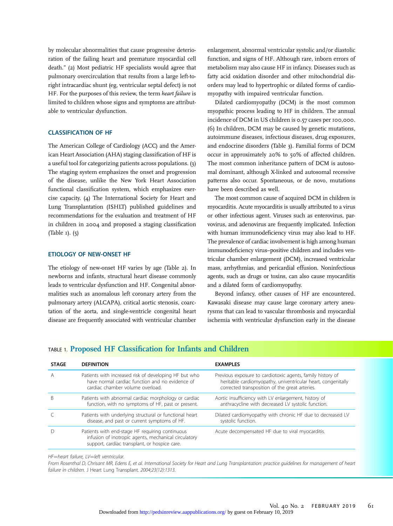by molecular abnormalities that cause progressive deterioration of the failing heart and premature myocardial cell death." (2) Most pediatric HF specialists would agree that pulmonary overcirculation that results from a large left-toright intracardiac shunt (eg, ventricular septal defect) is not HF. For the purposes of this review, the term heart failure is limited to children whose signs and symptoms are attributable to ventricular dysfunction.

## CLASSIFICATION OF HF

The American College of Cardiology (ACC) and the American Heart Association (AHA) staging classification of HF is a useful tool for categorizing patients across populations. (3) The staging system emphasizes the onset and progression of the disease, unlike the New York Heart Association functional classification system, which emphasizes exercise capacity. (4) The International Society for Heart and Lung Transplantation (ISHLT) published guidelines and recommendations for the evaluation and treatment of HF in children in 2004 and proposed a staging classification (Table 1). (5)

#### ETIOLOGY OF NEW-ONSET HF

The etiology of new-onset HF varies by age (Table 2). In newborns and infants, structural heart disease commonly leads to ventricular dysfunction and HF. Congenital abnormalities such as anomalous left coronary artery from the pulmonary artery (ALCAPA), critical aortic stenosis, coarctation of the aorta, and single-ventricle congenital heart disease are frequently associated with ventricular chamber

enlargement, abnormal ventricular systolic and/or diastolic function, and signs of HF. Although rare, inborn errors of metabolism may also cause HF in infancy. Diseases such as fatty acid oxidation disorder and other mitochondrial disorders may lead to hypertrophic or dilated forms of cardiomyopathy with impaired ventricular function.

Dilated cardiomyopathy (DCM) is the most common myopathic process leading to HF in children. The annual incidence of DCM in US children is 0.57 cases per 100,000. (6) In children, DCM may be caused by genetic mutations, autoimmune diseases, infectious diseases, drug exposures, and endocrine disorders (Table 3). Familial forms of DCM occur in approximately 20% to 50% of affected children. The most common inheritance pattern of DCM is autosomal dominant, although X-linked and autosomal recessive patterns also occur. Spontaneous, or de novo, mutations have been described as well.

The most common cause of acquired DCM in children is myocarditis. Acute myocarditis is usually attributed to a virus or other infectious agent. Viruses such as enterovirus, parvovirus, and adenovirus are frequently implicated. Infection with human immunodeficiency virus may also lead to HF. The prevalence of cardiac involvement is high among human immunodeficiency virus–positive children and includes ventricular chamber enlargement (DCM), increased ventricular mass, arrhythmias, and pericardial effusion. Noninfectious agents, such as drugs or toxins, can also cause myocarditis and a dilated form of cardiomyopathy.

Beyond infancy, other causes of HF are encountered. Kawasaki disease may cause large coronary artery aneurysms that can lead to vascular thrombosis and myocardial ischemia with ventricular dysfunction early in the disease

| <b>STAGE</b> | <b>DEFINITION</b>                                                                                                                                        | <b>EXAMPLES</b>                                                                                                                                                              |
|--------------|----------------------------------------------------------------------------------------------------------------------------------------------------------|------------------------------------------------------------------------------------------------------------------------------------------------------------------------------|
| А            | Patients with increased risk of developing HF but who<br>have normal cardiac function and no evidence of<br>cardiac chamber volume overload.             | Previous exposure to cardiotoxic agents, family history of<br>heritable cardiomyopathy, univentricular heart, congenitally<br>corrected transposition of the great arteries. |
| R            | Patients with abnormal cardiac morphology or cardiac<br>function, with no symptoms of HF, past or present.                                               | Aortic insufficiency with LV enlargement, history of<br>anthracycline with decreased LV systolic function.                                                                   |
|              | Patients with underlying structural or functional heart<br>disease, and past or current symptoms of HF.                                                  | Dilated cardiomyopathy with chronic HF due to decreased LV<br>systolic function.                                                                                             |
|              | Patients with end-stage HF requiring continuous<br>infusion of inotropic agents, mechanical circulatory<br>support, cardiac transplant, or hospice care. | Acute decompensated HF due to viral myocarditis.                                                                                                                             |

## TABLE 1. Proposed HF Classification for Infants and Children

HF=heart failure, LV=left ventricular.<br>From Rosenthal D, Chrisant MR, Edens E, et al. International Society for Heart and Lung Transplantation: practice guidelines for management of heart failure in children. J Heart Lung Transplant. 2004;23(12):1313.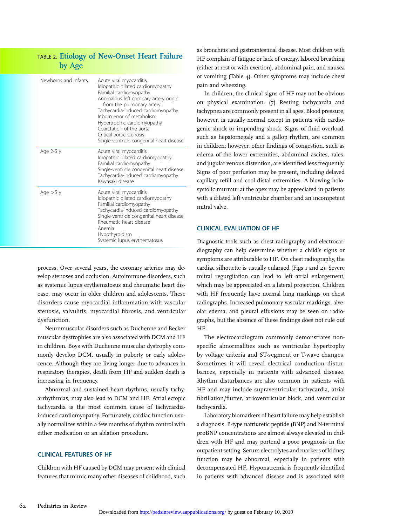## TABLE 2. Etiology of New-Onset Heart Failure by Age

| Newborns and infants | Acute viral myocarditis<br>Idiopathic dilated cardiomyopathy<br>Familial cardiomyopathy<br>Anomalous left coronary artery origin<br>from the pulmonary artery<br>Tachycardia-induced cardiomyopathy<br>Inborn error of metabolism<br>Hypertrophic cardiomyopathy<br>Coarctation of the aorta<br>Critical aortic stenosis<br>Single-ventricle congenital heart disease |
|----------------------|-----------------------------------------------------------------------------------------------------------------------------------------------------------------------------------------------------------------------------------------------------------------------------------------------------------------------------------------------------------------------|
| Age 2-5 y            | Acute viral myocarditis<br>Idiopathic dilated cardiomyopathy<br>Familial cardiomyopathy<br>Single-ventricle congenital heart disease<br>Tachycardia-induced cardiomyopathy<br>Kawasaki disease                                                                                                                                                                        |
| Age $>5y$            | Acute viral myocarditis<br>Idiopathic dilated cardiomyopathy<br>Familial cardiomyopathy<br>Tachycardia-induced cardiomyopathy<br>Single-ventricle congenital heart disease<br>Rheumatic heart disease<br>Anemia<br>Hypothyroidism<br>Systemic lupus erythematosus                                                                                                     |

process. Over several years, the coronary arteries may develop stenoses and occlusion. Autoimmune disorders, such as systemic lupus erythematosus and rheumatic heart disease, may occur in older children and adolescents. These disorders cause myocardial inflammation with vascular stenosis, valvulitis, myocardial fibrosis, and ventricular dysfunction.

Neuromuscular disorders such as Duchenne and Becker muscular dystrophies are also associated with DCM and HF in children. Boys with Duchenne muscular dystrophy commonly develop DCM, usually in puberty or early adolescence. Although they are living longer due to advances in respiratory therapies, death from HF and sudden death is increasing in frequency.

Abnormal and sustained heart rhythms, usually tachyarrhythmias, may also lead to DCM and HF. Atrial ectopic tachycardia is the most common cause of tachycardiainduced cardiomyopathy. Fortunately, cardiac function usually normalizes within a few months of rhythm control with either medication or an ablation procedure.

## CLINICAL FEATURES OF HF

Children with HF caused by DCM may present with clinical features that mimic many other diseases of childhood, such as bronchitis and gastrointestinal disease. Most children with HF complain of fatigue or lack of energy, labored breathing (either at rest or with exertion), abdominal pain, and nausea or vomiting (Table 4). Other symptoms may include chest pain and wheezing.

In children, the clinical signs of HF may not be obvious on physical examination. (7) Resting tachycardia and tachypnea are commonly present in all ages. Blood pressure, however, is usually normal except in patients with cardiogenic shock or impending shock. Signs of fluid overload, such as hepatomegaly and a gallop rhythm, are common in children; however, other findings of congestion, such as edema of the lower extremities, abdominal ascites, rales, and jugular venous distention, are identified less frequently. Signs of poor perfusion may be present, including delayed capillary refill and cool distal extremities. A blowing holosystolic murmur at the apex may be appreciated in patients with a dilated left ventricular chamber and an incompetent mitral valve.

#### CLINICAL EVALUATION OF HF

Diagnostic tools such as chest radiography and electrocardiography can help determine whether a child's signs or symptoms are attributable to HF. On chest radiography, the cardiac silhouette is usually enlarged (Figs 1 and 2). Severe mitral regurgitation can lead to left atrial enlargement, which may be appreciated on a lateral projection. Children with HF frequently have normal lung markings on chest radiographs. Increased pulmonary vascular markings, alveolar edema, and pleural effusions may be seen on radiographs, but the absence of these findings does not rule out HF.

The electrocardiogram commonly demonstrates nonspecific abnormalities such as ventricular hypertrophy by voltage criteria and ST-segment or T-wave changes. Sometimes it will reveal electrical conduction disturbances, especially in patients with advanced disease. Rhythm disturbances are also common in patients with HF and may include supraventricular tachycardia, atrial fibrillation/flutter, atrioventricular block, and ventricular tachycardia.

Laboratory biomarkers of heart failure may help establish a diagnosis. B-type natriuretic peptide (BNP) and N-terminal proBNP concentrations are almost always elevated in children with HF and may portend a poor prognosis in the outpatient setting. Serum electrolytes and markers of kidney function may be abnormal, especially in patients with decompensated HF. Hyponatremia is frequently identified in patients with advanced disease and is associated with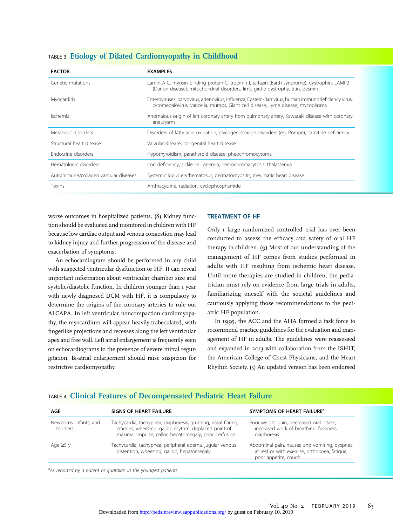| <b>FACTOR</b>                         | <b>EXAMPLES</b>                                                                                                                                                                        |
|---------------------------------------|----------------------------------------------------------------------------------------------------------------------------------------------------------------------------------------|
| Genetic mutations                     | Lamin A-C, myosin binding protein-C, tropinin I, taffazin (Barth syndrome), dystrophin, LAMP2<br>(Danon disease), mitochondrial disorders, limb-girdle dystrophy, titin, desmin        |
| Myocarditis                           | Enteroviruses, parvovirus, adenovirus, influenza, Epstein-Barr virus, human immunodeficiency virus,<br>cytomegalovirus, varicella, mumps, Giant cell disease, Lyme disease, mycoplasma |
| Ischemia                              | Anomalous origin of left coronary artery from pulmonary artery, Kawasaki disease with coronary<br>aneurysms                                                                            |
| Metabolic disorders                   | Disorders of fatty acid oxidation, glycogen storage disorders (eg, Pompe), carnitine deficiency                                                                                        |
| Structural heart disease              | Valvular disease, congenital heart disease                                                                                                                                             |
| Endocrine disorders                   | Hypothyroidism, parathyroid disease, pheochromocytoma                                                                                                                                  |
| Hematologic disorders                 | Iron deficiency, sickle cell anemia, hemochromacytosis, thalassemia                                                                                                                    |
| Autoimmune/collagen vascular diseases | Systemic lupus erythematosus, dermatomyositis, rheumatic heart disease                                                                                                                 |
| <b>Toxins</b>                         | Anthracycline, radiation, cyclophosphamide                                                                                                                                             |

## TABLE 3. Etiology of Dilated Cardiomyopathy in Childhood

worse outcomes in hospitalized patients. (8) Kidney function should be evaluated and monitored in children with HF because low cardiac output and venous congestion may lead to kidney injury and further progression of the disease and exacerbation of symptoms.

An echocardiogram should be performed in any child with suspected ventricular dysfunction or HF. It can reveal important information about ventricular chamber size and systolic/diastolic function. In children younger than 1 year with newly diagnosed DCM with HF, it is compulsory to determine the origins of the coronary arteries to rule out ALCAPA. In left ventricular noncompaction cardiomyopathy, the myocardium will appear heavily trabeculated, with fingerlike projections and recesses along the left ventricular apex and free wall. Left atrial enlargement is frequently seen on echocardiograms in the presence of severe mitral regurgitation. Bi-atrial enlargement should raise suspicion for restrictive cardiomyopathy.

## TREATMENT OF HF

Only 1 large randomized controlled trial has ever been conducted to assess the efficacy and safety of oral HF therapy in children. (9) Most of our understanding of the management of HF comes from studies performed in adults with HF resulting from ischemic heart disease. Until more therapies are studied in children, the pediatrician must rely on evidence from large trials in adults, familiarizing oneself with the societal guidelines and cautiously applying those recommendations to the pediatric HF population.

In 1995, the ACC and the AHA formed a task force to recommend practice guidelines for the evaluation and management of HF in adults. The guidelines were reassessed and expanded in 2013 with collaboration from the ISHLT, the American College of Chest Physicians, and the Heart Rhythm Society. (3) An updated version has been endorsed

| AGE                                | SIGNS OF HEART FAILURE                                                                                                                                                          | SYMPTOMS OF HEART FAILURE <sup>a</sup>                                                                                |
|------------------------------------|---------------------------------------------------------------------------------------------------------------------------------------------------------------------------------|-----------------------------------------------------------------------------------------------------------------------|
| Newborns, infants, and<br>toddlers | Tachycardia, tachypnea, diaphoresis, grunting, nasal flaring,<br>crackles, wheezing, gallop rhythm, displaced point of<br>maximal impulse, pallor, hepatomegaly, poor perfusion | Poor weight gain, decreased oral intake,<br>increased work of breathing, fussiness,<br>diaphoresis                    |
| Age $\geq$ 5 y                     | Tachycardia, tachypnea, peripheral edema, jugular venous<br>distention, wheezing, gallop, hepatomegaly                                                                          | Abdominal pain, nausea and vomiting, dyspnea<br>at rest or with exercise, orthopnea, fatique,<br>poor appetite, cough |

## TABLE 4. Clinical Features of Decompensated Pediatric Heart Failure

<sup>a</sup>As reported by a parent or guardian in the youngest patients.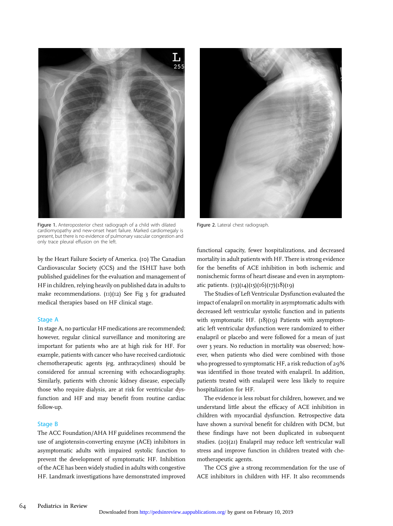

Figure 1. Anteroposterior chest radiograph of a child with dilated cardiomyopathy and new-onset heart failure. Marked cardiomegaly is present, but there is no evidence of pulmonary vascular congestion and only trace pleural effusion on the left.

by the Heart Failure Society of America. (10) The Canadian Cardiovascular Society (CCS) and the ISHLT have both published guidelines for the evaluation and management of HF in children, relying heavily on published data in adults to make recommendations.  $(11)(12)$  See Fig 3 for graduated medical therapies based on HF clinical stage.

#### Stage A

In stage A, no particular HF medications are recommended; however, regular clinical surveillance and monitoring are important for patients who are at high risk for HF. For example, patients with cancer who have received cardiotoxic chemotherapeutic agents (eg, anthracyclines) should be considered for annual screening with echocardiography. Similarly, patients with chronic kidney disease, especially those who require dialysis, are at risk for ventricular dysfunction and HF and may benefit from routine cardiac follow-up.

## Stage B

The ACC Foundation/AHA HF guidelines recommend the use of angiotensin-converting enzyme (ACE) inhibitors in asymptomatic adults with impaired systolic function to prevent the development of symptomatic HF. Inhibition of the ACE has been widely studied in adults with congestive HF. Landmark investigations have demonstrated improved



Figure 2. Lateral chest radiograph.

functional capacity, fewer hospitalizations, and decreased mortality in adult patients with HF. There is strong evidence for the benefits of ACE inhibition in both ischemic and nonischemic forms of heart disease and even in asymptomatic patients.  $(13)(14)(15)(16)(17)(18)(19)$ 

The Studies of Left Ventricular Dysfunction evaluated the impact of enalapril on mortality in asymptomatic adults with decreased left ventricular systolic function and in patients with symptomatic HF. (18)(19) Patients with asymptomatic left ventricular dysfunction were randomized to either enalapril or placebo and were followed for a mean of just over 3 years. No reduction in mortality was observed; however, when patients who died were combined with those who progressed to symptomatic HF, a risk reduction of 29% was identified in those treated with enalapril. In addition, patients treated with enalapril were less likely to require hospitalization for HF.

The evidence is less robust for children, however, and we understand little about the efficacy of ACE inhibition in children with myocardial dysfunction. Retrospective data have shown a survival benefit for children with DCM, but these findings have not been duplicated in subsequent studies. (20)(21) Enalapril may reduce left ventricular wall stress and improve function in children treated with chemotherapeutic agents.

The CCS give a strong recommendation for the use of ACE inhibitors in children with HF. It also recommends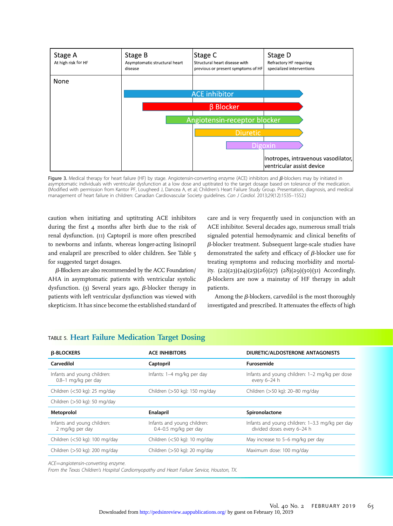

Figure 3. Medical therapy for heart failure (HF) by stage. Angiotensin-converting enzyme (ACE) inhibitors and  $\beta$ -blockers may by initiated in asymptomatic individuals with ventricular dysfunction at a low dose and uptitrated to the target dosage based on tolerance of the medication. (Modified with permission from Kantor PF, Lougheed J, Dancea A, et al; Children's Heart Failure Study Group. Presentation, diagnosis, and medical management of heart failure in children: Canadian Cardiovascular Society guidelines. Can J Cardiol. 2013;29(12):1535–1552.)

caution when initiating and uptitrating ACE inhibitors during the first 4 months after birth due to the risk of renal dysfunction. (11) Captopril is more often prescribed to newborns and infants, whereas longer-acting lisinopril and enalapril are prescribed to older children. See Table 5 for suggested target dosages.

 $\beta$ -Blockers are also recommended by the ACC Foundation/ AHA in asymptomatic patients with ventricular systolic dysfunction. (3) Several years ago,  $\beta$ -blocker therapy in patients with left ventricular dysfunction was viewed with skepticism. It has since become the established standard of care and is very frequently used in conjunction with an ACE inhibitor. Several decades ago, numerous small trials signaled potential hemodynamic and clinical benefits of  $\beta$ -blocker treatment. Subsequent large-scale studies have demonstrated the safety and efficacy of  $\beta$ -blocker use for treating symptoms and reducing morbidity and mortality. (22)(23)(24)(25)(26)(27) (28)(29)(30)(31) Accordingly,  $\beta$ -blockers are now a mainstay of HF therapy in adult patients.

Among the  $\beta$ -blockers, carvedilol is the most thoroughly investigated and prescribed. It attenuates the effects of high

| <b>B-BLOCKERS</b>                                  | <b>ACE INHIBITORS</b>                                    | DIURETIC/ALDOSTERONE ANTAGONISTS                                              |
|----------------------------------------------------|----------------------------------------------------------|-------------------------------------------------------------------------------|
| Carvedilol                                         | Captopril                                                | <b>Furosemide</b>                                                             |
| Infants and young children:<br>0.8-1 mg/kg per day | Infants: 1-4 mg/kg per day                               | Infants and young children: 1-2 mg/kg per dose<br>every 6-24 h                |
| Children $(<$ 50 kg): 25 mg/day                    | Children (>50 kg): 150 mg/day                            | Children (>50 kg): 20-80 mg/day                                               |
| Children (>50 kg): 50 mg/day                       |                                                          |                                                                               |
| Metoprolol                                         | Enalapril                                                | Spironolactone                                                                |
| Infants and young children:<br>2 mg/kg per day     | Infants and young children:<br>$0.4 - 0.5$ mg/kg per day | Infants and young children: 1-3.3 mg/kg per day<br>divided doses every 6-24 h |
| Children (<50 kg): 100 mg/day                      | Children $(<$ 50 kg): 10 mg/day                          | May increase to 5-6 mg/kg per day                                             |
| Children (>50 kg): 200 mg/day                      | Children $(>50 \text{ kg})$ : 20 mg/day                  | Maximum dose: 100 mg/day                                                      |
|                                                    |                                                          |                                                                               |

## TABLE 5. Heart Failure Medication Target Dosing

ACE=angiotensin-converting enzyme.

From the Texas Children's Hospital Cardiomyopathy and Heart Failure Service, Houston, TX.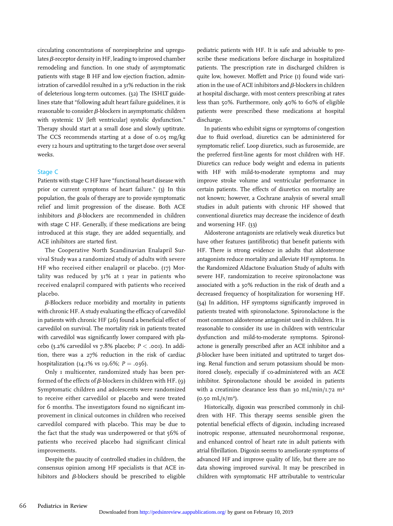circulating concentrations of norepinephrine and upregulates  $\beta$ -receptor density in HF, leading to improved chamber remodeling and function. In one study of asymptomatic patients with stage B HF and low ejection fraction, administration of carvedilol resulted in a 31% reduction in the risk of deleterious long-term outcomes. (32) The ISHLT guidelines state that "following adult heart failure guidelines, it is reasonable to consider  $\beta$ -blockers in asymptomatic children with systemic LV [left ventricular] systolic dysfunction." Therapy should start at a small dose and slowly uptitrate. The CCS recommends starting at a dose of 0.05 mg/kg every 12 hours and uptitrating to the target dose over several weeks.

## Stage C

Patients with stage C HF have "functional heart disease with prior or current symptoms of heart failure." (3) In this population, the goals of therapy are to provide symptomatic relief and limit progression of the disease. Both ACE inhibitors and  $\beta$ -blockers are recommended in children with stage C HF. Generally, if these medications are being introduced at this stage, they are added sequentially, and ACE inhibitors are started first.

The Cooperative North Scandinavian Enalapril Survival Study was a randomized study of adults with severe HF who received either enalapril or placebo. (17) Mortality was reduced by 31% at 1 year in patients who received enalapril compared with patients who received placebo.

 $\beta$ -Blockers reduce morbidity and mortality in patients with chronic HF. A study evaluating the efficacy of carvedilol in patients with chronic HF (26) found a beneficial effect of carvedilol on survival. The mortality risk in patients treated with carvedilol was significantly lower compared with placebo (3.2% carvedilol vs 7.8% placebo;  $P < .001$ ). In addition, there was a 27% reduction in the risk of cardiac hospitalization (14.1% vs 19.6%;  $P = .036$ ).

Only 1 multicenter, randomized study has been performed of the effects of  $\beta$ -blockers in children with HF. (9) Symptomatic children and adolescents were randomized to receive either carvedilol or placebo and were treated for 6 months. The investigators found no significant improvement in clinical outcomes in children who received carvedilol compared with placebo. This may be due to the fact that the study was underpowered or that 56% of patients who received placebo had significant clinical improvements.

Despite the paucity of controlled studies in children, the consensus opinion among HF specialists is that ACE inhibitors and  $\beta$ -blockers should be prescribed to eligible pediatric patients with HF. It is safe and advisable to prescribe these medications before discharge in hospitalized patients. The prescription rate in discharged children is quite low, however. Moffett and Price (1) found wide variation in the use of ACE inhibitors and  $\beta$ -blockers in children at hospital discharge, with most centers prescribing at rates less than 50%. Furthermore, only 40% to 60% of eligible patients were prescribed these medications at hospital discharge.

In patients who exhibit signs or symptoms of congestion due to fluid overload, diuretics can be administered for symptomatic relief. Loop diuretics, such as furosemide, are the preferred first-line agents for most children with HF. Diuretics can reduce body weight and edema in patients with HF with mild-to-moderate symptoms and may improve stroke volume and ventricular performance in certain patients. The effects of diuretics on mortality are not known; however, a Cochrane analysis of several small studies in adult patients with chronic HF showed that conventional diuretics may decrease the incidence of death and worsening HF. (33)

Aldosterone antagonists are relatively weak diuretics but have other features (antifibrotic) that benefit patients with HF. There is strong evidence in adults that aldosterone antagonists reduce mortality and alleviate HF symptoms. In the Randomized Aldactone Evaluation Study of adults with severe HF, randomization to receive spironolactone was associated with a 30% reduction in the risk of death and a decreased frequency of hospitalization for worsening HF. (34) In addition, HF symptoms significantly improved in patients treated with spironolactone. Spironolactone is the most common aldosterone antagonist used in children. It is reasonable to consider its use in children with ventricular dysfunction and mild-to-moderate symptoms. Spironolactone is generally prescribed after an ACE inhibitor and a  $\beta$ -blocker have been initiated and uptitrated to target dosing. Renal function and serum potassium should be monitored closely, especially if co-administered with an ACE inhibitor. Spironolactone should be avoided in patients with a creatinine clearance less than 30 mL/min/1.72  $m<sup>2</sup>$  $(0.50 \text{ mL/s/m}^2)$ .

Historically, digoxin was prescribed commonly in children with HF. This therapy seems sensible given the potential beneficial effects of digoxin, including increased inotropic response, attenuated neurohormonal response, and enhanced control of heart rate in adult patients with atrial fibrillation. Digoxin seems to ameliorate symptoms of advanced HF and improve quality of life, but there are no data showing improved survival. It may be prescribed in children with symptomatic HF attributable to ventricular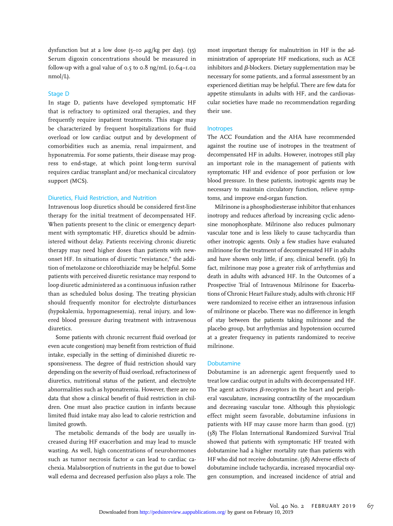dysfunction but at a low dose  $(5-10 \mu g/kg$  per day).  $(35)$ Serum digoxin concentrations should be measured in follow-up with a goal value of  $0.5$  to  $0.8$  ng/mL ( $0.64$ –1.02 nmol/L).

## Stage D

In stage D, patients have developed symptomatic HF that is refractory to optimized oral therapies, and they frequently require inpatient treatments. This stage may be characterized by frequent hospitalizations for fluid overload or low cardiac output and by development of comorbidities such as anemia, renal impairment, and hyponatremia. For some patients, their disease may progress to end-stage, at which point long-term survival requires cardiac transplant and/or mechanical circulatory support (MCS).

#### Diuretics, Fluid Restriction, and Nutrition

Intravenous loop diuretics should be considered first-line therapy for the initial treatment of decompensated HF. When patients present to the clinic or emergency department with symptomatic HF, diuretics should be administered without delay. Patients receiving chronic diuretic therapy may need higher doses than patients with newonset HF. In situations of diuretic "resistance," the addition of metolazone or chlorothiazide may be helpful. Some patients with perceived diuretic resistance may respond to loop diuretic administered as a continuous infusion rather than as scheduled bolus dosing. The treating physician should frequently monitor for electrolyte disturbances (hypokalemia, hypomagnesemia), renal injury, and lowered blood pressure during treatment with intravenous diuretics.

Some patients with chronic recurrent fluid overload (or even acute congestion) may benefit from restriction of fluid intake, especially in the setting of diminished diuretic responsiveness. The degree of fluid restriction should vary depending on the severity of fluid overload, refractoriness of diuretics, nutritional status of the patient, and electrolyte abnormalities such as hyponatremia. However, there are no data that show a clinical benefit of fluid restriction in children. One must also practice caution in infants because limited fluid intake may also lead to calorie restriction and limited growth.

The metabolic demands of the body are usually increased during HF exacerbation and may lead to muscle wasting. As well, high concentrations of neurohormones such as tumor necrosis factor  $\alpha$  can lead to cardiac cachexia. Malabsorption of nutrients in the gut due to bowel wall edema and decreased perfusion also plays a role. The most important therapy for malnutrition in HF is the administration of appropriate HF medications, such as ACE inhibitors and  $\beta$ -blockers. Dietary supplementation may be necessary for some patients, and a formal assessment by an experienced dietitian may be helpful. There are few data for appetite stimulants in adults with HF, and the cardiovascular societies have made no recommendation regarding their use.

## Inotropes

The ACC Foundation and the AHA have recommended against the routine use of inotropes in the treatment of decompensated HF in adults. However, inotropes still play an important role in the management of patients with symptomatic HF and evidence of poor perfusion or low blood pressure. In these patients, inotropic agents may be necessary to maintain circulatory function, relieve symptoms, and improve end-organ function.

Milrinone is a phosphodiesterase inhibitor that enhances inotropy and reduces afterload by increasing cyclic adenosine monophosphate. Milrinone also reduces pulmonary vascular tone and is less likely to cause tachycardia than other inotropic agents. Only a few studies have evaluated milrinone for the treatment of decompensated HF in adults and have shown only little, if any, clinical benefit. (36) In fact, milrinone may pose a greater risk of arrhythmias and death in adults with advanced HF. In the Outcomes of a Prospective Trial of Intravenous Milrinone for Exacerbations of Chronic Heart Failure study, adults with chronic HF were randomized to receive either an intravenous infusion of milrinone or placebo. There was no difference in length of stay between the patients taking milrinone and the placebo group, but arrhythmias and hypotension occurred at a greater frequency in patients randomized to receive milrinone.

#### Dobutamine

Dobutamine is an adrenergic agent frequently used to treat low cardiac output in adults with decompensated HF. The agent activates  $\beta$ -receptors in the heart and peripheral vasculature, increasing contractility of the myocardium and decreasing vascular tone. Although this physiologic effect might seem favorable, dobutamine infusions in patients with HF may cause more harm than good. (37) (38) The Flolan International Randomized Survival Trial showed that patients with symptomatic HF treated with dobutamine had a higher mortality rate than patients with HF who did not receive dobutamine. (38) Adverse effects of dobutamine include tachycardia, increased myocardial oxygen consumption, and increased incidence of atrial and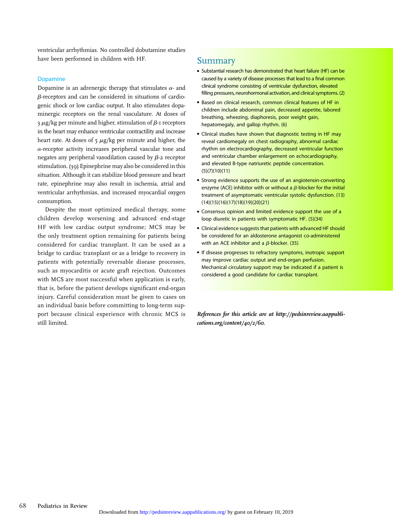ventricular arrhythmias. No controlled dobutamine studies have been performed in children with HF.

#### Dopamine

Dopamine is an adrenergic therapy that stimulates  $\alpha$ - and  $\beta$ -receptors and can be considered in situations of cardiogenic shock or low cardiac output. It also stimulates dopaminergic receptors on the renal vasculature. At doses of  $3 \mu$ g/kg per minute and higher, stimulation of  $\beta$ -1 receptors in the heart may enhance ventricular contractility and increase heart rate. At doses of  $\frac{1}{2}$  mg/kg per minute and higher, the  $\alpha$ -receptor activity increases peripheral vascular tone and negates any peripheral vasodilation caused by  $\beta$ -2 receptor stimulation. (39) Epinephrine may also be considered in this situation. Although it can stabilize blood pressure and heart rate, epinephrine may also result in ischemia, atrial and ventricular arrhythmias, and increased myocardial oxygen consumption.

Despite the most optimized medical therapy, some children develop worsening and advanced end-stage HF with low cardiac output syndrome; MCS may be the only treatment option remaining for patients being considered for cardiac transplant. It can be used as a bridge to cardiac transplant or as a bridge to recovery in patients with potentially reversable disease processes, such as myocarditis or acute graft rejection. Outcomes with MCS are most successful when application is early, that is, before the patient develops significant end-organ injury. Careful consideration must be given to cases on an individual basis before committing to long-term support because clinical experience with chronic MCS is still limited.

## Summary

- Substantial research has demonstrated that heart failure (HF) can be caused by a variety of disease processes that lead to a final common clinical syndrome consisting of ventricular dysfunction, elevated filling pressures, neurohormonal activation, and clinical symptoms. (2)
- Based on clinical research, common clinical features of HF in children include abdominal pain, decreased appetite, labored breathing, wheezing, diaphoresis, poor weight gain, hepatomegaly, and gallop rhythm. (6)
- Clinical studies have shown that diagnostic testing in HF may reveal cardiomegaly on chest radiography, abnormal cardiac rhythm on electrocardiography, decreased ventricular function and ventricular chamber enlargement on echocardiography, and elevated B-type natriuretic peptide concentration. (5)(7)(10)(11)
- Strong evidence supports the use of an angiotensin-converting enzyme (ACE) inhibitor with or without a  $\beta$ -blocker for the initial treatment of asymptomatic ventricular systolic dysfunction. (13) (14)(15)(16)(17)(18)(19)(20)(21)
- Consensus opinion and limited evidence support the use of a loop diuretic in patients with symptomatic HF. (5)(34)
- Clinical evidence suggests that patients with advanced HF should be considered for an aldosterone antagonist co-administered with an ACE inhibitor and a  $\beta$ -blocker. (35)
- If disease progresses to refractory symptoms, inotropic support may improve cardiac output and end-organ perfusion. Mechanical circulatory support may be indicated if a patient is considered a good candidate for cardiac transplant.

References for this article are at [http://pedsinreview.aappubli](http://pedsinreview.aappublications.org/content/40/2/60)[cations.org/content/40/2/60.](http://pedsinreview.aappublications.org/content/40/2/60)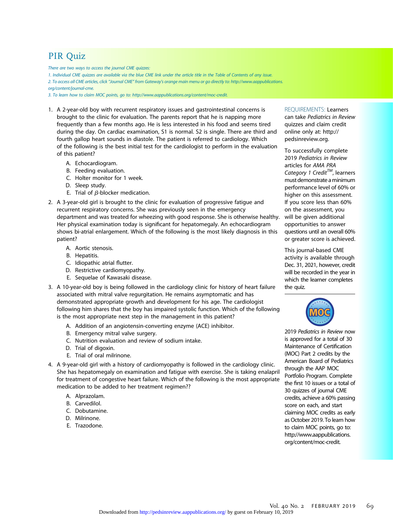# PIR Quiz

There are two ways to access the journal CME quizzes:

1. Individual CME quizzes are available via the blue CME link under the article title in the Table of Contents of any issue.

2. To access all CME articles, click "Journal CME" from Gateway's orange main menu or go directly to: [http://www.aappublications.](http://www.aappublications.org/content/journal-cme)

[org/content/journal-cme.](http://www.aappublications.org/content/journal-cme)

3. To learn how to claim MOC points, go to: [http://www.aappublications.org/content/moc-credit.](http://www.aappublications.org/content/moc-credit)

- 1. A 2-year-old boy with recurrent respiratory issues and gastrointestinal concerns is brought to the clinic for evaluation. The parents report that he is napping more frequently than a few months ago. He is less interested in his food and seems tired during the day. On cardiac examination, S1 is normal. S2 is single. There are third and fourth gallop heart sounds in diastole. The patient is referred to cardiology. Which of the following is the best initial test for the cardiologist to perform in the evaluation of this patient?
	- A. Echocardiogram.
	- B. Feeding evaluation.
	- C. Holter monitor for 1 week.
	- D. Sleep study.
	- E. Trial of  $\beta$ -blocker medication.
- 2. A 3-year-old girl is brought to the clinic for evaluation of progressive fatigue and recurrent respiratory concerns. She was previously seen in the emergency department and was treated for wheezing with good response. She is otherwise healthy. Her physical examination today is significant for hepatomegaly. An echocardiogram shows bi-atrial enlargement. Which of the following is the most likely diagnosis in this patient?
	- A. Aortic stenosis.
	- B. Hepatitis.
	- C. Idiopathic atrial flutter.
	- D. Restrictive cardiomyopathy.
	- E. Sequelae of Kawasaki disease.
- 3. A 10-year-old boy is being followed in the cardiology clinic for history of heart failure associated with mitral valve regurgitation. He remains asymptomatic and has demonstrated appropriate growth and development for his age. The cardiologist following him shares that the boy has impaired systolic function. Which of the following is the most appropriate next step in the management in this patient?
	- A. Addition of an angiotensin-converting enzyme (ACE) inhibitor.
	- B. Emergency mitral valve surgery.
	- C. Nutrition evaluation and review of sodium intake.
	- D. Trial of digoxin.
	- E. Trial of oral milrinone.
- 4. A 9-year-old girl with a history of cardiomyopathy is followed in the cardiology clinic. She has hepatomegaly on examination and fatigue with exercise. She is taking enalapril for treatment of congestive heart failure. Which of the following is the most appropriate medication to be added to her treatment regimen??
	- A. Alprazolam.
	- B. Carvedilol.
	- C. Dobutamine.
	- D. Milrinone.
	- E. Trazodone.

REQUIREMENTS: Learners

can take Pediatrics in Review quizzes and claim credit online only at: [http://](http://pedsinreview.org) [pedsinreview.org](http://pedsinreview.org).

To successfully complete 2019 Pediatrics in Review articles for AMA PRA Category 1 Credit<sup>TM</sup>, learners must demonstrate aminimum performance level of 60% or higher on this assessment. If you score less than 60% on the assessment, you will be given additional opportunities to answer questions until an overall 60% or greater score is achieved.

This journal-based CME activity is available through Dec. 31, 2021, however, credit will be recorded in the year in which the learner completes the quiz.



2019 Pediatrics in Review now is approved for a total of 30 Maintenance of Certification (MOC) Part 2 credits by the American Board of Pediatrics through the AAP MOC Portfolio Program. Complete the first 10 issues or a total of 30 quizzes of journal CME credits, achieve a 60% passing score on each, and start claiming MOC credits as early as October 2019. To learn how to claim MOC points, go to: [http://www.aappublications.](http://www.aappublications.org/content/moc-credit) [org/content/moc-credit](http://www.aappublications.org/content/moc-credit).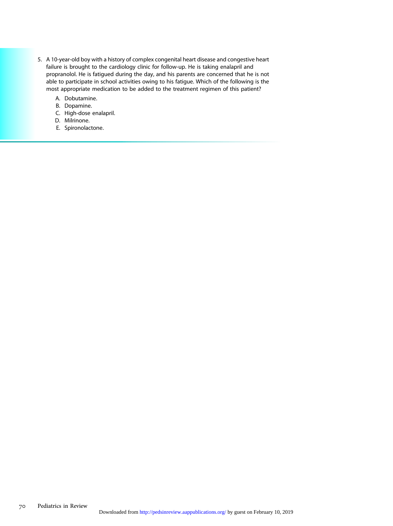- 5. A 10-year-old boy with a history of complex congenital heart disease and congestive heart failure is brought to the cardiology clinic for follow-up. He is taking enalapril and propranolol. He is fatigued during the day, and his parents are concerned that he is not able to participate in school activities owing to his fatigue. Which of the following is the most appropriate medication to be added to the treatment regimen of this patient?
	- A. Dobutamine.
	- B. Dopamine.
	- C. High-dose enalapril.
	- D. Milrinone.
	- E. Spironolactone.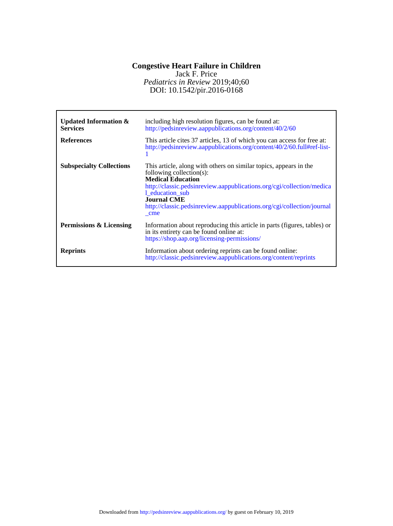## DOI: 10.1542/pir.2016-0168 *Pediatrics in Review* 2019;40;60 Jack F. Price **Congestive Heart Failure in Children**

| <b>Updated Information &amp;</b><br><b>Services</b> | including high resolution figures, can be found at:<br>http://pedsinreview.aappublications.org/content/40/2/60                                                                                                                                                                                                               |
|-----------------------------------------------------|------------------------------------------------------------------------------------------------------------------------------------------------------------------------------------------------------------------------------------------------------------------------------------------------------------------------------|
| <b>References</b>                                   | This article cites 37 articles, 13 of which you can access for free at:<br>http://pedsinreview.aappublications.org/content/40/2/60.full#ref-list-                                                                                                                                                                            |
| <b>Subspecialty Collections</b>                     | This article, along with others on similar topics, appears in the<br>following collection(s):<br><b>Medical Education</b><br>http://classic.pedsinreview.aappublications.org/cgi/collection/medica<br>1_education_sub<br><b>Journal CME</b><br>http://classic.pedsinreview.aappublications.org/cgi/collection/journal<br>cme |
| <b>Permissions &amp; Licensing</b>                  | Information about reproducing this article in parts (figures, tables) or<br>in its entirety can be found online at:<br>https://shop.aap.org/licensing-permissions/                                                                                                                                                           |
| <b>Reprints</b>                                     | Information about ordering reprints can be found online:<br>http://classic.pedsinreview.aappublications.org/content/reprints                                                                                                                                                                                                 |